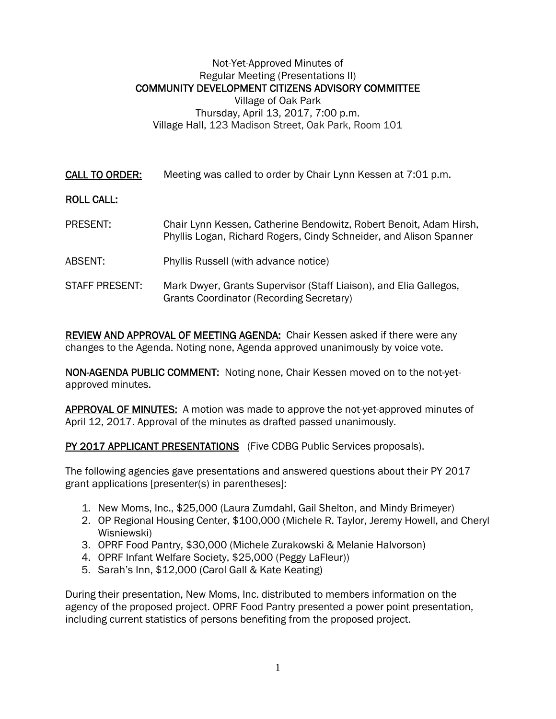## Not-Yet-Approved Minutes of Regular Meeting (Presentations II) COMMUNITY DEVELOPMENT CITIZENS ADVISORY COMMITTEE Village of Oak Park Thursday, April 13, 2017, 7:00 p.m. Village Hall, 123 Madison Street, Oak Park, Room 101

CALL TO ORDER: Meeting was called to order by Chair Lynn Kessen at 7:01 p.m.

## ROLL CALL:

- PRESENT: Chair Lynn Kessen, Catherine Bendowitz, Robert Benoit, Adam Hirsh, Phyllis Logan, Richard Rogers, Cindy Schneider, and Alison Spanner
- ABSENT: Phyllis Russell (with advance notice)
- STAFF PRESENT: Mark Dwyer, Grants Supervisor (Staff Liaison), and Elia Gallegos, Grants Coordinator (Recording Secretary)

REVIEW AND APPROVAL OF MEETING AGENDA: Chair Kessen asked if there were any changes to the Agenda. Noting none, Agenda approved unanimously by voice vote.

NON-AGENDA PUBLIC COMMENT: Noting none, Chair Kessen moved on to the not-yetapproved minutes.

APPROVAL OF MINUTES: A motion was made to approve the not-yet-approved minutes of April 12, 2017. Approval of the minutes as drafted passed unanimously.

PY 2017 APPLICANT PRESENTATIONS (Five CDBG Public Services proposals).

The following agencies gave presentations and answered questions about their PY 2017 grant applications [presenter(s) in parentheses]:

- 1. New Moms, Inc., \$25,000 (Laura Zumdahl, Gail Shelton, and Mindy Brimeyer)
- 2. OP Regional Housing Center, \$100,000 (Michele R. Taylor, Jeremy Howell, and Cheryl Wisniewski)
- 3. OPRF Food Pantry, \$30,000 (Michele Zurakowski & Melanie Halvorson)
- 4. OPRF Infant Welfare Society, \$25,000 (Peggy LaFleur))
- 5. Sarah's Inn, \$12,000 (Carol Gall & Kate Keating)

During their presentation, New Moms, Inc. distributed to members information on the agency of the proposed project. OPRF Food Pantry presented a power point presentation, including current statistics of persons benefiting from the proposed project.